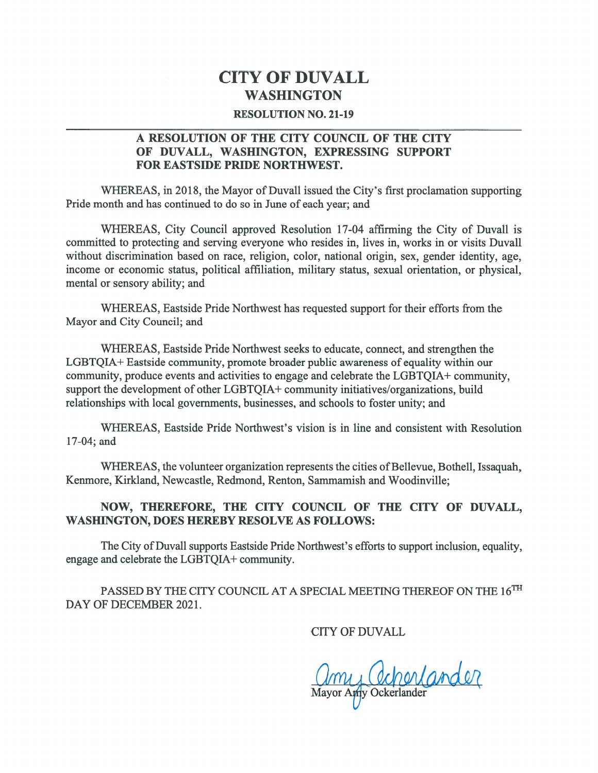## CITY OF DUVALL WASHINGTON

## RESOLUTION NO. 21-19

## A RESOLUTION OF THE CITY COUNCIL OF THE CITY OF DUVALL, WASHINGTON, EXPRESSING SUPPORT FOR EASTSIDE PRIDE NORTHWEST.

WHEREAS, in 2018, the Mayor of Duvall issued the City's first proclamation supporting Pride month and has continued to do so in June of each year; and

WHEREAS, City Council approved Resolution 17-04 affirming the City of Duvall is committed to protecting and serving everyone who resides in, lives in, works in or visits Duvall without discrimination based on race, religion, color, national origin, sex, gender identity, age, income or economic status, political affiliation, military status, sexual orientation, or physical, mental or sensory ability; and

WHEREAS, Eastside Pride Northwest has requested suppor<sup>t</sup> for their efforts from the Mayor and City Council; and

WHEREAS, Eastside Pride Northwest seeks to educate, connect, and strengthen the LGBTQIA+ Eastside community, promote broader public awareness of equality within our community, produce events and activities to engage and celebrate the LGBTQIA+ community, support the development of other LGBTQIA+ community initiatives/organizations, build relationships with local governments, businesses, and schools to foster unity; and

WHEREAS, Eastside Pride Northwest's vision is in line and consistent with Resolution 17-04; and

WHEREAS, the volunteer organization represents the cities of Bellevue, Bothell, Issaquah, Kenmore, Kirkland, Newcastle, Redmond, Renton, Sammamish and Woodinville;

## NOW, THEREFORE, THE CITY COUNCIL OF THE CITY OF DUVALL, WASHINGTON, DOES HEREBY RESOLVE AS FOLLOWS:

The City of Duvall supports Eastside Pride Northwest's efforts to support inclusion, equality, engage and celebrate the LGBTQJA+ community.

PASSED BY THE CITY COUNCIL AT A SPECIAL MEETING THEREOF ON THE  $16^{TH}$ DAY OF DECEMBER 2021.

CITY OF DUVALL

My Ochenlander